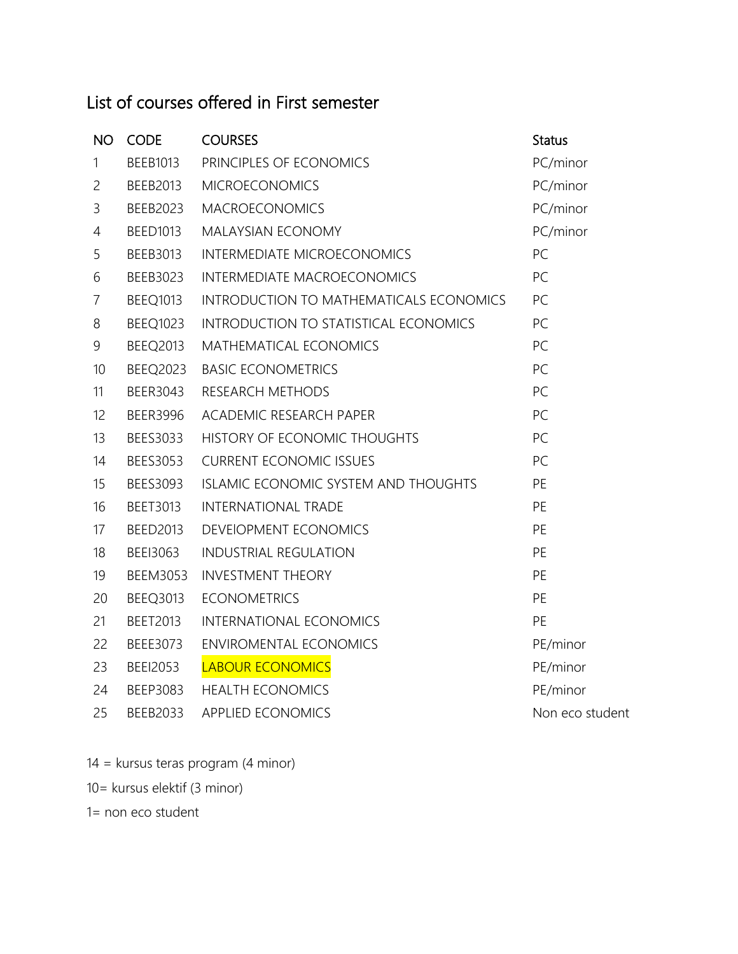## List of courses offered in First semester

| <b>NO</b>      | <b>CODE</b>     | <b>COURSES</b>                          | <b>Status</b>   |
|----------------|-----------------|-----------------------------------------|-----------------|
| 1              | <b>BEEB1013</b> | PRINCIPLES OF ECONOMICS                 | PC/minor        |
| $\overline{c}$ | BEEB2013        | <b>MICROECONOMICS</b>                   | PC/minor        |
| 3              | BEEB2023        | <b>MACROECONOMICS</b>                   | PC/minor        |
| $\overline{4}$ | <b>BEED1013</b> | <b>MALAYSIAN ECONOMY</b>                | PC/minor        |
| 5              | BEEB3013        | INTERMEDIATE MICROECONOMICS             | PC              |
| 6              | BEEB3023        | <b>INTERMEDIATE MACROECONOMICS</b>      | PC              |
| $\overline{7}$ | BEEQ1013        | INTRODUCTION TO MATHEMATICALS ECONOMICS | PC              |
| $8\,$          | BEEQ1023        | INTRODUCTION TO STATISTICAL ECONOMICS   | PC              |
| 9              | <b>BEEQ2013</b> | MATHEMATICAL ECONOMICS                  | PC              |
| 10             | <b>BEEQ2023</b> | <b>BASIC ECONOMETRICS</b>               | PC              |
| 11             | BEER3043        | RESEARCH METHODS                        | PC              |
| 12             | <b>BEER3996</b> | ACADEMIC RESEARCH PAPER                 | PC              |
| 13             | BEES3033        | HISTORY OF ECONOMIC THOUGHTS            | PC              |
| 14             | <b>BEES3053</b> | <b>CURRENT ECONOMIC ISSUES</b>          | PC              |
| 15             | BEES3093        | ISLAMIC ECONOMIC SYSTEM AND THOUGHTS    | PE              |
| 16             | <b>BEET3013</b> | <b>INTERNATIONAL TRADE</b>              | PE              |
| 17             | <b>BEED2013</b> | DEVEIOPMENT ECONOMICS                   | PE              |
| 18             | BEEI3063        | <b>INDUSTRIAL REGULATION</b>            | PE              |
| 19             | <b>BEEM3053</b> | <b>INVESTMENT THEORY</b>                | PE              |
| 20             | BEEQ3013        | <b>ECONOMETRICS</b>                     | PE              |
| 21             | <b>BEET2013</b> | <b>INTERNATIONAL ECONOMICS</b>          | PE              |
| 22             | BEEE3073        | <b>ENVIROMENTAL ECONOMICS</b>           | PE/minor        |
| 23             | <b>BEEI2053</b> | <b>LABOUR ECONOMICS</b>                 | PE/minor        |
| 24             | BEEP3083        | <b>HEALTH ECONOMICS</b>                 | PE/minor        |
| 25             | BEEB2033        | <b>APPLIED ECONOMICS</b>                | Non eco student |

- 14 = kursus teras program (4 minor)
- 10= kursus elektif (3 minor)

1= non eco student